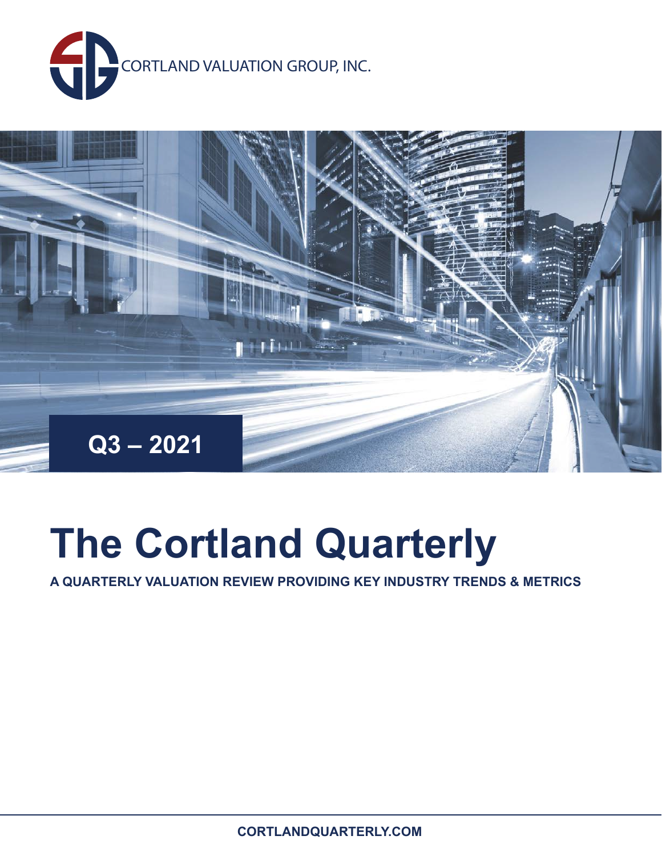



# **The Cortland Quarterly**

**A QUARTERLY VALUATION REVIEW PROVIDING KEY INDUSTRY TRENDS & METRICS**

**CORTLANDQUARTERLY.COM**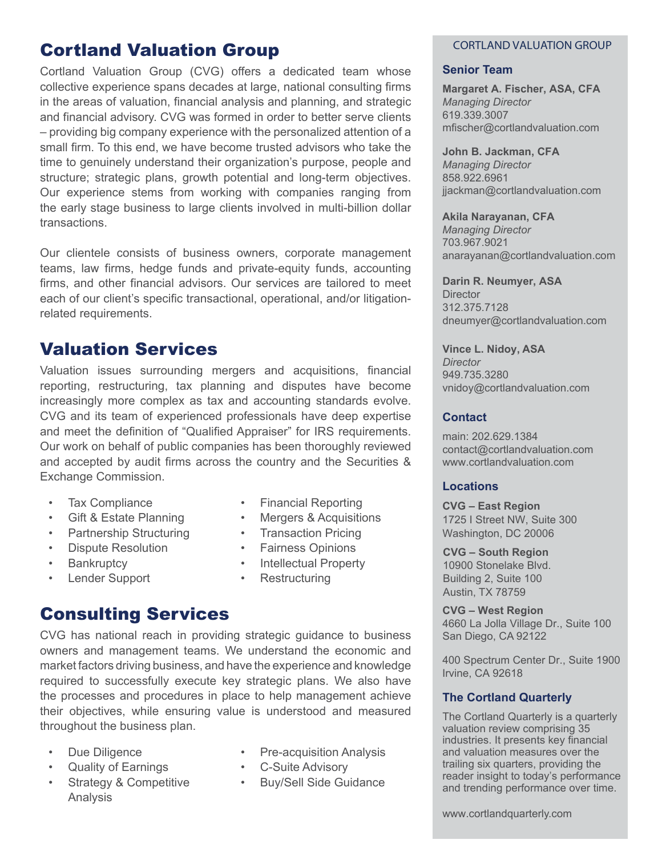## Cortland Valuation Group

Cortland Valuation Group (CVG) offers a dedicated team whose collective experience spans decades at large, national consulting firms in the areas of valuation, financial analysis and planning, and strategic and financial advisory. CVG was formed in order to better serve clients – providing big company experience with the personalized attention of a small firm. To this end, we have become trusted advisors who take the time to genuinely understand their organization's purpose, people and structure; strategic plans, growth potential and long-term objectives. Our experience stems from working with companies ranging from the early stage business to large clients involved in multi-billion dollar transactions.

Our clientele consists of business owners, corporate management teams, law firms, hedge funds and private-equity funds, accounting firms, and other financial advisors. Our services are tailored to meet each of our client's specific transactional, operational, and/or litigationrelated requirements.

### Valuation Services

Valuation issues surrounding mergers and acquisitions, financial reporting, restructuring, tax planning and disputes have become increasingly more complex as tax and accounting standards evolve. CVG and its team of experienced professionals have deep expertise and meet the definition of "Qualified Appraiser" for IRS requirements. Our work on behalf of public companies has been thoroughly reviewed and accepted by audit firms across the country and the Securities & Exchange Commission.

- Tax Compliance
- Gift & Estate Planning
- Partnership Structuring
- Dispute Resolution
- **Bankruptcy**
- Lender Support
- Financial Reporting
- Mergers & Acquisitions
- Transaction Pricing
- Fairness Opinions
- Intellectual Property
- Restructuring

### Consulting Services

CVG has national reach in providing strategic guidance to business owners and management teams. We understand the economic and market factors driving business, and have the experience and knowledge required to successfully execute key strategic plans. We also have the processes and procedures in place to help management achieve their objectives, while ensuring value is understood and measured throughout the business plan.

- Due Diligence
- Quality of Earnings
- Strategy & Competitive Analysis
- Pre-acquisition Analysis
- **C-Suite Advisory**
- Buy/Sell Side Guidance

#### CORTLAND VALUATION GROUP

#### **Senior Team**

**Margaret A. Fischer, ASA, CFA**  *Managing Director*  619.339.3007 mfischer@cortlandvaluation.com

**John B. Jackman, CFA**  *Managing Director* 858.922.6961 jjackman@cortlandvaluation.com

**Akila Narayanan, CFA** *Managing Director*  703.967.9021 anarayanan@cortlandvaluation.com

**Darin R. Neumyer, ASA Director** 312.375.7128 dneumyer@cortlandvaluation.com

**Vince L. Nidoy, ASA** *Director*  949.735.3280 vnidoy@cortlandvaluation.com

#### **Contact**

main: 202.629.1384 contact@cortlandvaluation.com www.cortlandvaluation.com

#### **Locations**

**CVG – East Region** 1725 I Street NW, Suite 300 Washington, DC 20006

**CVG – South Region** 10900 Stonelake Blvd. Building 2, Suite 100 Austin, TX 78759

**CVG – West Region** 4660 La Jolla Village Dr., Suite 100 San Diego, CA 92122

400 Spectrum Center Dr., Suite 1900 Irvine, CA 92618

#### **The Cortland Quarterly**

The Cortland Quarterly is a quarterly valuation review comprising 35 industries. It presents key financial and valuation measures over the trailing six quarters, providing the reader insight to today's performance and trending performance over time.

www.cortlandquarterly.com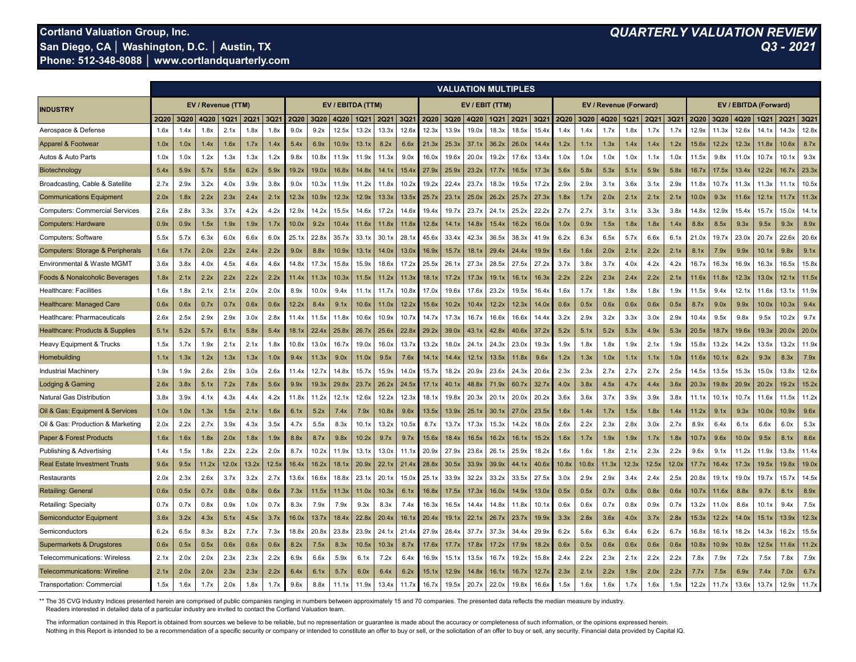#### **Cortland Valuation Group, Inc.** *QUARTERLY VALUATION REVIEW* **San Diego, CA │ Washington, D.C. │ Austin, TX** *Q3 - 2021* **Phone: 512-348-8088 │ www.cortlandquarterly.com**

|                                             |             | <b>VALUATION MULTIPLES</b> |                    |       |       |       |                   |                   |       |       |       |                   |                |                   |                   |                   |             |       |             |       |                        |       |             |       |                       |        |       |       |             |       |  |
|---------------------------------------------|-------------|----------------------------|--------------------|-------|-------|-------|-------------------|-------------------|-------|-------|-------|-------------------|----------------|-------------------|-------------------|-------------------|-------------|-------|-------------|-------|------------------------|-------|-------------|-------|-----------------------|--------|-------|-------|-------------|-------|--|
| <b>INDUSTRY</b>                             |             |                            | EV / Revenue (TTM) |       |       |       | EV / EBITDA (TTM) |                   |       |       |       |                   | EV / EBIT (TTM |                   |                   |                   |             |       |             |       | EV / Revenue (Forward) |       |             |       | EV / EBITDA (Forward) |        |       |       |             |       |  |
|                                             | <b>2Q20</b> | 3Q20                       | 4Q20               | IQ21  | 2Q21  | 3Q21  | <b>2Q20</b>       | 3Q20              | 4Q20  | 1Q21  | 2Q21  | 3Q21              | 2Q20           | 3Q20              | 4Q20              | 1Q21              | <b>2Q21</b> | 3Q21  | <b>2Q20</b> | 3Q20  | 4Q20                   | 1Q21  | <b>2Q21</b> | 3Q2'  | <b>2Q20</b>           | 3Q20   | 4Q20  | IQ21  | <b>2Q21</b> | 3Q21  |  |
| Aerospace & Defense                         | 1.6x        | 1.4x                       | 1.8x               | 2.1x  | 1.8x  | 1.8x  | 9.0x              | 9.2x              | 12.5x | 13.2x | 13.3x | 12.6              | 12.3x          | 13.9x             | 19.0x             | 18.3x             | 18.5x       | 15.4  | 1.4x        | 1.4x  | 1.7x                   | 1.8x  | 1.7x        | 1.7x  | 12.9x                 | 11.3x  | 12.6  | 14.1  | 14.3x       | 12.8x |  |
| Apparel & Footwear                          | 1.0x        | 1.0x                       | 1.4x               | 1.6x  | 1.7x  | 1.4x  | 5.4x              | 6.9x              | 10.9x | 13.1x | 8.2x  | 6.6x              | 21.3x          | 25.3x             | 37.1              | 36.2x             | 26.0x       | 14.4) | 1.2x        | 1.1x  | 1.3x                   | 1.4x  | 1.4x        | 1.2x  | 15.6x                 | 12.2x  | 12.3x | 11.8x | 10.6x       | 8.7x  |  |
| Autos & Auto Parts                          | 1.0x        | 1.0x                       | 1.2x               | 1.3x  | 1.3x  | 1.2x  | 9.8x              | 10.8              | 11.9x | 11.9x | 11.3x | 9.0x              | 16.0x          | 19.6x             | 20.0 <sub>x</sub> | 19.2x             | 17.6x       | 13.4  | 1.0x        | 1.0x  | 1.0x                   | 1.0x  | 1.1x        | 1.0x  | 11.5x                 | 9.8x   | 11.0  | 10.7x | 10.1x       | 9.3x  |  |
| Biotechnology                               | 5.4x        | 5.9x                       | 5.7x               | 5.5x  | 6.2x  | 5.9x  | 19.2x             | 19.0x             | 16.8x | 14.8x | 14.1x | 15.4              | 27.9x          | 25.9x             | 23.2x             | 17.7              | 16.5x       | 17.3x | 5.6x        | 5.8x  | 5.3x                   | 5.1x  | 5.9x        | 5.8x  | 6.7                   | 17.5x  | 13.4  | 12.2x | 16.7        | 23.3x |  |
| Broadcasting, Cable & Satellite             | 2.7x        | 2.9x                       | 3.2x               | 4.0x  | 3.9x  | 3.8x  | 9.0x              | 10.3x             | 11.9x | 11.2x | 11.8x | 10.2 <sub>2</sub> | 19.2x          | 22.4x             | 23.7x             | 18.3x             | 19.5x       | 17.2  | 2.9x        | 2.9x  | 3.1x                   | 3.6x  | 3.1x        | 2.9x  | 11.8>                 | 10.7x  | 11.3x | 11.3x | 11.1x       | 10.5x |  |
| <b>Communications Equipment</b>             | 2.0x        | 1.8x                       | 2.2x               | 2.3x  | 2.4x  | 2.1x  | 12.3x             | 10.9x             | 12.3x | 12.9x | 13.3x | 13.5x             | 25.7x          | 23.1              | 25.0x             | 26.2x             | 25.7x       | 27.3  | 1.8x        | 1.7x  | 2.0x                   | 2.1x  | 2.1x        | 2.1x  | 10.0>                 | 9.3x   | 11.6  | 12.1x | 11.7        | 11.3x |  |
| <b>Computers: Commercial Services</b>       | 2.6x        | 2.8x                       | 3.3x               | 3.7x  | 4.2x  | 4.2x  | 12.9x             | 14.2x             | 15.5x | 14.6x | 17.2x | 14.6×             | 19.4x          | 19.7x             | 23.7              | 24.1              | 25.2x       | 22.2x | 2.7x        | 2.7x  | 3.1x                   | 3.1x  | 3.3x        | 3.8x  | 14.8x                 | 12.9x  | 15.4  | 15.7x | 15.0x       | 14.1  |  |
| <b>Computers: Hardware</b>                  | 0.9x        | 0.9x                       | 1.5x               | 1.9x  | 1.9x  | 1.7x  | 10.0x             | 9.2x              | 10.4x | 11.6x | 11.8x | 11.8x             | 12.8x          | 14.1x             | 14.8x             | 15.4              | 16.2x       | 16.0x | 1.0x        | 0.9x  | 1.5x                   | 1.8x  | 1.8x        | 1.4x  | 8.8x                  | 8.5x   | 9.3x  | 9.5x  | 9.3x        | 8.9x  |  |
| Computers: Software                         | 5.5x        | 5.7x                       | 6.3x               | 6.0x  | 6.6x  | 6.0x  | 25.1x             | 22.8x             | 35.7x | 33.1x | 30.1x | 28.1              | 45.6x          | 33.4x             | 42.3x             | 36.5x             | 38.3x       | 41.9x | 6.2x        | 6.3x  | 6.5x                   | 5.7x  | 6.6x        | 6.1x  | 21.0x                 | 19.7x  | 23.0  | 20.7x | 22.6x       | 20.6x |  |
| <b>Computers: Storage &amp; Peripherals</b> | 1.6x        | 1.7x                       | 2.0x               | 2.2x  | 2.4x  | 2.2x  | 9.0x              | 8.8x              | 10.9x | 13.1x | 14.0x | 13.0x             | 16.9x          | 15.7x             | 18.1x             | 29.4x             | 24.4x       | 19.9x | 1.6x        | 1.6x  | 2.0x                   | 2.1x  | 2.2x        | 2.1x  | 8.1x                  | 7.9x   | 9.9x  | 10.1x | 9.8x        | 9.1x  |  |
| Environmental & Waste MGMT                  | 3.6x        | 3.8x                       | 4.0x               | 4.5x  | 4.6x  | 4.6x  | 14.8x             | 17.3>             | 15.8x | 15.9x | 18.6x | 17.2x             | 25.5x          | 26.1x             | 27.3x             | 28.5x             | 27.5x       | 27.2x | 3.7x        | 3.8x  | 3.7x                   | 4.0x  | 4.2x        | 4.2x  | 16.7x                 | 16.3x  | 16.9x | 16.3x | 16.5x       | 15.8x |  |
| Foods & Nonalcoholic Beverages              | 1.8x        | 2.1x                       | 2.2x               | 2.2x  | 2.2x  | 2.2x  | 11.4              | 11.3x             | 10.3x | 11.5x | 11.2x | 11.3x             | 18.1x          | 17.2x             | 17.3x             | 19.1              | 16.1x       | 16.3x | 2.2x        | 2.2x  | 2.3x                   | 2.4x  | 2.2x        | 2.1x  | 11.6x                 | 11.8x  | 12.3x | 13.0x | 12.1        | 11.5x |  |
| Healthcare: Facilities                      | 1.6x        | 1.8x                       | 2.1x               | 2.1x  | 2.0x  | 2.0x  | 8.9x              | 10.0x             | 9.4x  | 11.1x | 11.7x | 10.8x             | 17.0x          | 19.6x             | 17.6x             | 23.2x             | 19.5x       | 16.4x | 1.6x        | 1.7x  | 1.8x                   | 1.8x  | 1.8x        | 1.9x  | 11.5x                 | 9.4x   | 12.1  | 11.6x | 13.1x       | 11.9x |  |
| <b>Healthcare: Managed Care</b>             | 0.6x        | 0.6x                       | 0.7x               | 0.7x  | 0.6x  | 0.6x  | 12.2x             | 8.4x              | 9.1x  | 10.6x | 11.0x | 12.2x             | 15.6x          | 10.2x             | 10.4x             | 12.2x             | 12.3x       | 14.0x | 0.6x        | 0.5x  | 0.6x                   | 0.6x  | 0.6x        | 0.5x  | 8.7x                  | 9.0x   | 9.9x  | 10.0x | 10.3x       | 9.4x  |  |
| Heatlhcare: Pharmaceuticals                 | 2.6x        | 2.5x                       | 2.9x               | 2.9x  | 3.0x  | 2.8x  | 11.4x             | 11.5              | 11.8x | 10.6x | 10.9x | 10.7;             | 14.7x          | 17.3x             | 16.7x             | 16.6x             | 16.6x       | 14.4  | 3.2x        | 2.9x  | 3.2x                   | 3.3x  | 3.0x        | 2.9x  | 10.4x                 | 9.5x   | 9.8x  | 9.5x  | 10.2x       | 9.7x  |  |
| <b>Healthcare: Products &amp; Supplies</b>  | 5.1x        | 5.2x                       | 5.7x               | 6.1x  | 5.8x  | 5.4x  | 18.1x             | 22.4              | 25.8x | 26.7x | 25.6x | 22.8x             | 29.2x          | 39.0 <sub>x</sub> | 43.1x             | 42.8x             | 40.6x       | 37.2x | 5.2x        | 5.1x  | 5.2x                   | 5.3x  | 4.9x        | 5.3x  | 20.5x                 | 18.7x  | 19.6x | 19.3x | 20.0x       | 20.0x |  |
| Heavy Equipment & Trucks                    | 1.5x        | 1.7x                       | 1.9x               | 2.1x  | 2.1x  | 1.8x  | 10.8x             | 13.0x             | 16.7x | 19.0x | 16.0x | 13.7              | 13.2x          | 18.0x             | 24.1x             | 24.3x             | 23.0x       | 19.3x | 1.9x        | 1.8x  | 1.8x                   | 1.9x  | 2.1x        | 1.9x  | 15.8x                 | 13.2x  | 14.2  | 13.5x | 13.2x       | 11.9x |  |
| Homebuilding                                | 1.1x        | 1.3x                       | 1.2x               | 1.3x  | 1.3x  | 1.0x  | 9.4x              | 11.3x             | 9.0x  | 11.0x | 9.5x  | 7.6x              | 14.1x          | 14.4x             | 12.1x             | 13.5x             | 11.8x       | 9.6x  | 1.2x        | 1.3x  | 1.0x                   | 1.1x  | 1.1x        | 1.0x  | 11.6x                 | 10.1x  | 8.2x  | 9.3x  | 8.3x        | 7.9x  |  |
| Industrial Machinery                        | 1.9x        | 1.9x                       | 2.6x               | 2.9x  | 3.0x  | 2.6x  | 11.4x             | 12.7x             | 14.8x | 15.7x | 15.9x | 14.0x             | 15.7x          | 18.2x             | 20.9x             | 23.6x             | 24.3x       | 20.6x | 2.3x        | 2.3x  | 2.7x                   | 2.7x  | 2.7x        | 2.5x  | 14.5x                 | 13.5x  | 15.3x | 15.0x | 13.8x       | 12.6x |  |
| Lodging & Gaming                            | 2.6x        | 3.8x                       | 5.1x               | 7.2x  | 7.8x  | 5.6x  | 9.9x              | 19.3x             | 29.8x | 23.7x | 26.2x | 24.5x             | 17.1x          | 40.1x             | 48.8x             | 71.9x             | 60.7x       | 32.7x | 4.0x        | 3.8x  | 4.5x                   | 4.7x  | 4.4x        | 3.6x  | 20.3x                 | 19.8x  | 20.9x | 20.2x | 19.2x       | 15.2x |  |
| <b>Natural Gas Distribution</b>             | 3.8x        | 3.9x                       | 4.1x               | 4.3x  | 4.4x  | 4.2x  | 11.8x             | 11.2x             | 12.1x | 12.6x | 12.2x | 12.3x             | 18.1x          | 19.8x             | 20.3x             | 20.1x             | 20.0x       | 20.2x | 3.6x        | 3.6x  | 3.7x                   | 3.9x  | 3.9x        | 3.8x  | 11.1x                 | 10.1x  | 10.7x | 11.6x | 11.5x       | 11.2x |  |
| Oil & Gas: Equipment & Services             | 1.0x        | 1.0x                       | 1.3x               | 1.5x  | 2.1x  | 1.6x  | 6.1x              | 5.2x              | 7.4x  | 7.9x  | 10.8x | 9.6x              | 13.5x          | 13.9x             | 25.1x             | 30.1x             | 27.0x       | 23.5x | 1.6x        | 1.4x  | 1.7x                   | 1.5x  | 1.8x        | 1.4x  | 11.2x                 | 9.1x   | 9.3x  | 10.0x | 10.9x       | 9.6x  |  |
| Oil & Gas: Production & Marketing           | 2.0x        | 2.2x                       | 2.7x               | 3.9x  | 4.3x  | 3.5x  | 4.7x              | 5.5x              | 8.3x  | 10.1x | 13.2x | 10.5x             | 8.7x           | 13.7x             | 17.3x             | 15.3x             | 14.2x       | 18.0x | 2.6x        | 2.2x  | 2.3x                   | 2.8x  | 3.0x        | 2.7x  | 8.9x                  | 6.4x   | 6.1x  | 6.6x  | 6.0x        | 5.3x  |  |
| <b>Paper &amp; Forest Products</b>          | 1.6x        | 1.6x                       | 1.8x               | 2.0x  | 1.8x  | 1.9x  | 8.8x              | 8.7x              | 9.8x  | 10.2x | 9.7x  | 9.7x              | 15.6x          | 18.4x             | 16.5x             | 16.2x             | 16.1x       | 15.2x | 1.6x        | 1.7x  | 1.9x                   | 1.9x  | 1.7x        | 1.8x  | 10.7x                 | 9.6x   | 10.0x | 9.5x  | 8.1x        | 8.6x  |  |
| Publishing & Advertising                    | 1.4x        | 1.5x                       | 1.8x               | 2.2x  | 2.2x  | 2.0x  | 8.7x              | 10.2x             | 11.9x | 13.1x | 13.0x | 11.1              | 20.9x          | 27.9x             | 23.6x             | 26.1              | 25.9x       | 18.2x | 1.6x        | 1.6x  | 1.8x                   | 2.1x  | 2.3x        | 2.2x  | 9.6x                  | 9.1x   | 11.2  | 11.9x | 13.8x       | 11.4x |  |
| <b>Real Estate Investment Trusts</b>        | 9.6x        | 9.5x                       | 11.2x              | 12.0x | 13.2x | 12.5x | 16.4              | 16.2x             | 18.1× | 20.9x | 22.1x | 21.4              | 28.8x          | 30.5x             | 33.9x             | 39.9 <sub>x</sub> | 44.1x       | 40.6  | 10.8x       | 10.8x | 11.3x                  | 12.3x | 12.5x       | 12.0) | 17.7>                 | 16.4x  | 17.3x | 19.5x | 19.8x       | 19.0x |  |
| Restaurants                                 | 2.0x        | 2.3x                       | 2.6x               | 3.7x  | 3.2x  | 2.7x  | 13.6x             | 16.6)             | 18.8x | 23.1x | 20.1x | 15.0)             | 25.1x          | 33.9x             | 32.2x             | 33.2x             | 33.5x       | 27.5  | 3.0x        | 2.9x  | 2.9x                   | 3.4x  | 2.4x        | 2.5x  | 20.8x                 | 19.1›  | 19.0  | 19.7x | 15.7x       | 14.5x |  |
| <b>Retailing: General</b>                   | 0.6x        | 0.5x                       | 0.7x               | 0.8x  | 0.8x  | 0.6x  | 7.3x              | 11.5 <sub>2</sub> | 11.3x | 11.0x | 10.3x | 6.1x              | 16.8x          | 17.5x             | 17.3x             | 16.0x             | 14.9x       | 13.0x | 0.5x        | 0.5x  | 0.7x                   | 0.8x  | 0.8x        | 0.6x  | $ 0.7\rangle$         | l 1.6x | 8.8x  | 9.7x  | 8.1x        | 8.9x  |  |
| <b>Retailing: Specialty</b>                 | 0.7x        | 0.7x                       | 0.8x               | 0.9x  | 1.0x  | 0.7x  | 8.3x              | 7.9x              | 7.9x  | 9.3x  | 8.3x  | 7.4x              | 16.3x          | 16.5x             | 14.4x             | 14.8 <sub>2</sub> | 11.8x       | 10.1  | 0.6x        | 0.6x  | 0.7x                   | 0.8x  | 0.9x        | 0.7x  | 13.2x                 | 11.0x  | 8.6x  | 10.1x | 9.4x        | 7.5x  |  |
| Semiconductor Equipment                     | 3.6x        | 3.2x                       | 4.3x               | 5.1x  | 4.5x  | 3.7x  | 16.0x             | 13.7              | 18.4× | 22.8x | 20.4x | 16.1)             | 20.4x          | 19.1              | 22.1              | 26.7              | 23.7x       | 19.9× | 3.3x        | 2.8x  | 3.6x                   | 4.0x  | 3.7x        | 2.8x  | 15.3x                 | 12.2x  | 14.0  | 15.1  | 13.9x       | 12.3x |  |
| Semiconductors                              | 6.2x        | 6.5x                       | 8.3x               | 8.2x  | 7.7x  | 7.3x  | 18.8x             | 20.8              | 23.8x | 23.9x | 24.1x | 21.4              | 27.9x          | 28.4x             | 37.7              | 37.3              | 34.4x       | 29.9x | 6.2x        | 5.6x  | 6.3x                   | 6.4x  | 6.2x        | 6.7x  | 16.8x                 | 16.1x  | 18.2  | 14.3x | 16.2x       | 15.5x |  |
| Supermarkets & Drugstores                   | 0.6x        | 0.5x                       | 0.5x               | 0.6x  | 0.6x  | 0.6x  | 8.2x              | 7.5x              | 8.3x  | 10.5x | 10.3x | 8.7x              | 17.6x          | 17.7              | 17.8x             | 17.2x             | 17.9x       | 18.2x | 0.6x        | 0.5x  | 0.6x                   | 0.6x  | 0.6x        | 0.6x  | 10.8x                 | 10.9x  | 10.8x | 12.5x | 11.6x       | 11.2x |  |
| <b>Telecommunications: Wireless</b>         | 2.1x        | 2.0x                       | 2.0x               | 2.3x  | 2.3x  | 2.2x  | 6.9x              | 6.6x              | 5.9x  | 6.1x  | 7.2x  | 6.4x              | 16.9x          | 15.1x             | 13.5x             | 16.7x             | 19.2x       | 15.8x | 2.4x        | 2.2x  | 2.3x                   | 2.1x  | 2.2x        | 2.2x  | 7.8x                  | 7.9x   | 7.2x  | 7.5x  | 7.8x        | 7.9x  |  |
| <b>Telecommunications: Wireline</b>         | 2.1x        | 2.0x                       | 2.0x               | 2.3x  | 2.3x  | 2.2x  | 6.4x              | 6.1x              | 5.7x  | 6.0x  | 6.4x  | 6.2x              | 15.1x          | 12.9x             | 14.8x             | 16.1x             | 16.7x       | 12.7x | 2.3x        | 2.1x  | 2.2x                   | 1.9x  | 2.0x        | 2.2x  | 7.7x                  | 7.5x   | 6.9x  | 7.4x  | 7.0x        | 6.7x  |  |
| Transportation: Commercial                  | 1.5x        | 1.6x                       | 1.7x               | 2.0x  | 1.8x  | 1.7x  | 9.6x              | 8.8x              | 11.1x | 11.9x | 13.4x | 11.7x             | 16.7x          | 19.5x             | 20.7x             | 22.0x             | 19.8x       | 16.6x | 1.5x        | 1.6x  | 1.6x                   | 1.7x  | 1.6x        | 1.5x  | 12.2x                 | 11.7x  | 13.6x | 13.7x | 12.9x       | 11.7x |  |

\*\* The 35 CVG Industry Indices presented herein are comprised of public companies ranging in numbers between approximately 15 and 70 companies. The presented data reflects the median measure by industry. \*\* Readers interested in detailed data of a particular industry are invited to contact the Cortland Valuation team.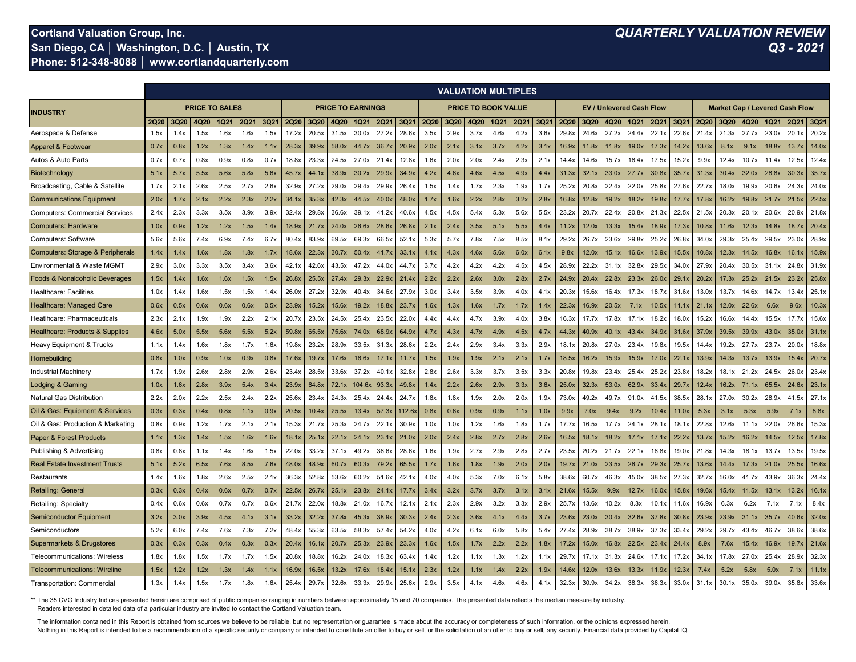#### **Cortland Valuation Group, Inc.** *QUARTERLY VALUATION REVIEW* **San Diego, CA | Washington, D.C. | Austin, TX Phone: 512-348-8088 │ www.cortlandquarterly.com**

|                                             |             |      |      |      |             |      |             |       |       |        |                  |       |             |             |      | <b>VALUATION MULTIPLES</b><br><b>PRICE TO SALES</b><br><b>PRICE TO EARNINGS</b><br><b>PRICE TO BOOK VALUE</b><br>EV / Unlevered Cash Flow<br><b>Market Cap / Levered Cash Flow</b> |             |      |                   |       |       |       |             |       |             |       |       |       |             |       |
|---------------------------------------------|-------------|------|------|------|-------------|------|-------------|-------|-------|--------|------------------|-------|-------------|-------------|------|------------------------------------------------------------------------------------------------------------------------------------------------------------------------------------|-------------|------|-------------------|-------|-------|-------|-------------|-------|-------------|-------|-------|-------|-------------|-------|
| <b>INDUSTRY</b>                             |             |      |      |      |             |      |             |       |       |        |                  |       |             |             |      |                                                                                                                                                                                    |             |      |                   |       |       |       |             |       |             |       |       |       |             |       |
|                                             | <b>2Q20</b> | 3Q20 | 4Q20 | 1Q21 | <b>2Q21</b> | 3Q21 | <b>2Q20</b> | 3Q20  | 4Q20  | IQ21   | 2Q2 <sup>-</sup> | 3Q21  | <b>2Q20</b> | <b>3Q20</b> | 4Q20 | 1Q21                                                                                                                                                                               | <b>2Q21</b> | 3Q21 | 2Q20              | 3Q20  | 4Q20  | 1Q21  | <b>2Q21</b> | 3Q21  | <b>2Q20</b> | 3Q20  | 4Q20  | 1Q21  | <b>2Q21</b> | 3Q21  |
| Aerospace & Defense                         | 1.5x        | 1.4x | 1.5x | 1.6x | 1.6x        | 1.5  | 17.2x       | 20.5x | 31.5x | 30.0x  | 27.2             | 28.6  | 3.5x        | 2.9x        | 3.7x | 4.6x                                                                                                                                                                               | 4.2x        | 3.6x | 29.8              | 24.6x | 27.2x | 24.4  | 22.1        | 22.6x | 21.4x       | 21.3x | 27.7  | 23.0x | 20.1        | 20.2x |
| Apparel & Footwear                          | 0.7x        | 0.8x | 1.2x | 1.3x | 1.4x        | 1.1x | 28.3x       | 39.9x | 58.0x | 44.7x  | 36.7             | 20.9x | 2.0x        | 2.1x        | 3.1x | 3.7x                                                                                                                                                                               | 4.2x        | 3.1x | 16.9x             | 11.8x | 11.8  | 19.0x | 17.3x       | 14.2x | 13.6x       | 8.1x  | 9.1x  | 18.8x | 13.7        | 14.0x |
| Autos & Auto Parts                          | 0.7x        | 0.7x | 0.8x | 0.9x | 0.8x        | 0.7x | 18.8        | 23.3x | 24.5x | 27.0x  | 21.4             | 12.8x | 1.6x        | 2.0x        | 2.0x | 2.4x                                                                                                                                                                               | 2.3x        | 2.1x | 14.4              | 14.6x | 15.7  | 16.4x | 17.5        | 15.2x | 9.9x        | 12.4x | 10.7> | 11.4x | 12.5x       | 12.4x |
| Biotechnology                               | 5.1x        | 5.7x | 5.5x | 5.6x | 5.8x        | 5.6x | 45.7        | 44.1× | 38.9x | 30.2x  | 29.9x            | 34.9x | 4.2x        | 4.6x        | 4.6x | 4.5x                                                                                                                                                                               | 4.9x        | 4.4x | 31.3x             | 32.1x | 33.0  | 27.7  | 30.8        | 35.7  | 31.3x       | 30.4x | 32.0x | 28.8x | 30.3        | 35.7x |
| Broadcasting, Cable & Satellite             | 1.7x        | 2.1x | 2.6x | 2.5x | 2.7x        | 2.6x | 32.9x       | 27.2x | 29.0x | 29.4x  | 29.9x            | 26.4  | 1.5x        | 1.4x        | 1.7x | 2.3x                                                                                                                                                                               | 1.9x        | 1.7x | 25.2x             | 20.8x | 22.4x | 22.0  | 25.8        | 27.6x | 22.7        | 18.0x | 19.9x | 20.6x | 24.3x       | 24.0x |
| <b>Communications Equipment</b>             | 2.0x        | 1.7x | 2.1x | 2.2x | 2.3x        | 2.2x | 34.1        | 35.3x | 42.3x | 44.5x  | 40.0x            | 48.0x | 1.7x        | 1.6x        | 2.2x | 2.8x                                                                                                                                                                               | 3.2x        | 2.8x | 16.8x             | 12.8x | 19.2x | 18.2x | 19.8x       | 17.7  | 17.8›       | 16.2x | 19.8x | 21.7x | 21.5x       | 22.5x |
| <b>Computers: Commercial Services</b>       | 2.4x        | 2.3x | 3.3x | 3.5x | 3.9x        | 3.9x | 32.4        | 29.8x | 36.6x | 39.1x  | 41.2x            | 40.6x | 4.5x        | 4.5x        | 5.4x | 5.3x                                                                                                                                                                               | 5.6x        | 5.5x | 23.2x             | 20.7x | 22.4  | 20.8x | 21.3x       | 22.5x | 21.5x       | 20.3x | 20.1  | 20.6x | 20.9x       | 21.8x |
| <b>Computers: Hardware</b>                  | 1.0x        | 0.9x | 1.2x | 1.2x | 1.5x        | 1.4x | 18.9x       | 21.7x | 24.0x | 26.6x  | 28.6x            | 26.8x | 2.1x        | 2.4x        | 3.5x | 5.1x                                                                                                                                                                               | 5.5x        | 4.4x | 11.2x             | 12.0x | 13.3x | 15.4x | 18.9x       | 17.3x | 10.8x       | 11.6x | 12.3x | 14.8x | 18.7x       | 20.4x |
| Computers: Software                         | 5.6x        | 5.6x | 7.4x | 6.9x | 7.4x        | 6.7x | 80.4x       | 83.9x | 69.5x | 69.3x  | 66.5x            | 52.1x | 5.3x        | 5.7x        | 7.8x | 7.5x                                                                                                                                                                               | 8.5x        | 8.1x | 29.2x             | 26.7x | 23.6x | 29.8x | 25.2x       | 26.8x | 34.0x       | 29.3x | 25.4  | 29.5x | 23.0x       | 28.9x |
| <b>Computers: Storage &amp; Peripherals</b> | 1.4x        | 1.4x | 1.6x | 1.8x | 1.8x        | 1.7x | 18.6x       | 22.3x | 30.7x | 50.4x  | 41.7x            | 33.1x | 4.1x        | 4.3x        | 4.6x | 5.6x                                                                                                                                                                               | 6.0x        | 6.1x | 9.8x              | 12.0x | 15.1  | 16.6x | 13.9x       | 15.5x | 10.8x       | 12.3x | 14.5  | 16.8x | 16.1x       | 15.9x |
| Environmental & Waste MGMT                  | 2.9x        | 3.0x | 3.3x | 3.5x | 3.4x        | 3.6x | 42.1        | 42.6x | 43.5x | 47.2x  | 44.0x            | 44.7x | 3.7x        | 4.2x        | 4.2x | 4.2x                                                                                                                                                                               | 4.5x        | 4.5x | 28.9x             | 22.2x | 31.1  | 32.8x | 29.5x       | 34.0x | 27.9x       | 20.4x | 30.5x | 31.1x | 24.8x       | 31.9x |
| <b>Foods &amp; Nonalcoholic Beverages</b>   | 1.5x        | 1.4x | 1.6x | 1.6x | 1.5x        | 1.5x | 26.8x       | 25.5x | 27.4x | 29.3x  | 22.9x            | 21.4  | 2.2x        | 2.2x        | 2.6x | 3.0x                                                                                                                                                                               | 2.8x        | 2.7x | 24.9x             | 20.4x | 22.8  | 23.3x | 26.0        | 29.1x | 20.2x       | 17.3x | 25.2x | 21.5x | 23.2x       | 25.8x |
| <b>Healthcare: Facilities</b>               | 1.0x        | 1.4x | 1.6x | 1.5x | 1.5x        | 1.4x | 26.0x       | 27.2x | 32.9x | 40.4x  | 34.6x            | 27.9x | 3.0x        | 3.4x        | 3.5x | 3.9x                                                                                                                                                                               | 4.0x        | 4.1x | 20.3x             | 15.6x | 16.4x | 17.3x | 18.7        | 31.6x | 13.0x       | 13.7x | 14.6x | 14.7x | 13.4x       | 25.1x |
| Healthcare: Managed Care                    | 0.6x        | 0.5x | 0.6x | 0.6x | 0.6x        | 0.5x | 23.9x       | 15.2x | 15.6x | 19.2x  | 18.8x            | 23.7  | 1.6x        | 1.3x        | 1.6x | 1.7x                                                                                                                                                                               | 1.7x        | 1.4x | 22.3x             | 16.9x | 20.5x | 7.1x  | 10.5x       | 11.1x | 21.1x       | 12.0x | 22.6  | 6.6x  | 9.6x        | 10.3x |
| Heatlhcare: Pharmaceuticals                 | 2.3x        | 2.1x | 1.9x | 1.9x | 2.2x        | 2.1x | 20.7        | 23.5x | 24.5x | 25.4x  | 23.5x            | 22.0x | 4.4x        | 4.4x        | 4.7x | 3.9x                                                                                                                                                                               | 4.0x        | 3.8x | 16.3x             | 17.7x | 17.8x | 17.1  | 18.2x       | 18.0x | 15.2x       | 16.6x | 14.4x | 15.5x | 17.7x       | 15.6x |
| <b>Healthcare: Products &amp; Supplies</b>  | 4.6x        | 5.0x | 5.5x | 5.6x | 5.5x        | 5.2x | 59.8x       | 65.5x | 75.6x | 74.0x  | 68.9x            | 64.9x | 4.7x        | 4.3x        | 4.7x | 4.9x                                                                                                                                                                               | 4.5x        | 4.7x | 44.3 <sub>2</sub> | 40.9x | 40.1  | 43.4x | 34.9x       | 31.6x | 37.9x       | 39.5x | 39.9x | 43.0x | 35.0x       | 31.1x |
| Heavy Equipment & Trucks                    | 1.1x        | 1.4x | 1.6x | 1.8x | 1.7x        | 1.6x | 19.8x       | 23.2x | 28.9x | 33.5x  | 31.3x            | 28.6x | 2.2x        | 2.4x        | 2.9x | 3.4x                                                                                                                                                                               | 3.3x        | 2.9x | 18.1              | 20.8x | 27.0x | 23.4x | 19.8x       | 19.5x | 14.4x       | 19.2x | 27.7x | 23.7x | 20.0x       | 18.8x |
| Homebuilding                                | 0.8x        | 1.0x | 0.9x | 1.0x | 0.9x        | 0.8x | 17.6x       | 19.7x | 17.6x | 16.6x  | 17.1             | 11.7x | 1.5x        | 1.9x        | 1.9x | 2.1x                                                                                                                                                                               | 2.1x        | 1.7x | 18.5x             | 16.2x | 15.9x | 15.9x | 17.0x       | 22.1x | 13.9x       | 14.3x | 13.7  | 13.9x | 15.4        | 20.7x |
| <b>Industrial Machinery</b>                 | 1.7x        | 1.9x | 2.6x | 2.8x | 2.9x        | 2.6x | 23.4        | 28.5x | 33.6x | 37.2x  | 40.1             | 32.8x | 2.8x        | 2.6x        | 3.3x | 3.7x                                                                                                                                                                               | 3.5x        | 3.3x | 20.8x             | 19.8x | 23.4x | 25.4  | 25.2        | 23.8x | 18.2x       | 18.1x | 21.2  | 24.5x | 26.0x       | 23.4x |
| Lodging & Gaming                            | 1.0x        | 1.6x | 2.8x | 3.9x | 5.4x        | 3.4x | 23.9x       | 64.8x | 72.1x | 104.6x | 93.3x            | 49.8x | 1.4x        | 2.2x        | 2.6x | 2.9x                                                                                                                                                                               | 3.3x        | 3.6x | 25.0x             | 32.3x | 53.0x | 62.9x | 33.4        | 29.7x | 12.4x       | 16.2x | 71.1  | 65.5x | 24.6x       | 23.1x |
| <b>Natural Gas Distribution</b>             | 2.2x        | 2.0x | 2.2x | 2.5x | 2.4x        | 2.2x | 25.6x       | 23.4x | 24.3x | 25.4x  | 24.4x            | 24.7x | 1.8x        | 1.8x        | 1.9x | 2.0x                                                                                                                                                                               | 2.0x        | 1.9x | 73.0x             | 49.2x | 49.7x | 91.0x | 41.5x       | 38.5x | 28.1x       | 27.0x | 30.2x | 28.9x | 41.5x       | 27.1x |
| Oil & Gas: Equipment & Services             | 0.3x        | 0.3x | 0.4x | 0.8x | 1.1x        | 0.9x | 20.5x       | 10.4x | 25.5x | 13.4x  | 57.3x            | 112.6 | 0.8x        | 0.6x        | 0.9x | 0.9x                                                                                                                                                                               | 1.1x        | 1.0x | 9.9x              | 7.0x  | 9.4x  | 9.2x  | 10.4x       | 11.0x | 5.3x        | 3.1x  | 5.3x  | 5.9x  | 7.1x        | 8.8x  |
| Oil & Gas: Production & Marketing           | 0.8x        | 0.9x | 1.2x | 1.7x | 2.1x        | 2.1x | 15.3x       | 21.7x | 25.3x | 24.7x  | 22.1x            | 30.9x | 1.0x        | 1.0x        | 1.2x | 1.6x                                                                                                                                                                               | 1.8x        | 1.7x | 17.7x             | 16.5x | 17.7x | 24.1x | 28.1x       | 18.1x | 22.8x       | 12.6x | 11.1x | 22.0x | 26.6x       | 15.3x |
| <b>Paper &amp; Forest Products</b>          | 1.1x        | 1.3x | 1.4x | 1.5x | 1.6x        | 1.6x | 18.1x       | 25.1x | 22.1x | 24.1x  | 23.1x            | 21.0x | 2.0x        | 2.4x        | 2.8x | 2.7x                                                                                                                                                                               | 2.8x        | 2.6x | 16.5x             | 18.1x | 18.2x | 17.1x | 17.1x       | 22.2x | 13.7x       | 15.2x | 16.2x | 14.5x | 12.5x       | 17.8x |
| Publishing & Advertising                    | 0.8x        | 0.8x | 1.1x | 1.4x | 1.6x        | 1.5x | 22.0x       | 33.2x | 37.1x | 49.2x  | 36.6x            | 28.6x | 1.6x        | 1.9x        | 2.7x | 2.9x                                                                                                                                                                               | 2.8x        | 2.7x | 23.5x             | 20.2x | 21.7x | 22.1x | 16.8x       | 19.0x | 21.8x       | 14.3x | 18.1x | 13.7x | 13.5x       | 19.5x |
| <b>Real Estate Investment Trusts</b>        | 5.1x        | 5.2x | 6.5x | 7.6x | 8.5x        | 7.6x | 48.0x       | 48.9x | 60.7x | 60.3x  | 79.2x            | 65.5x | 1.7x        | 1.6x        | 1.8x | 1.9x                                                                                                                                                                               | 2.0x        | 2.0x | 19.7x             | 21.0x | 23.5x | 26.7x | 29.3x       | 25.7x | 13.6x       | 14.4x | 17.3x | 21.0x | 25.5x       | 16.6x |
| Restaurants                                 | 1.4x        | 1.6x | 1.8x | 2.6x | 2.5x        | 2.1x | 36.3x       | 52.8x | 53.6x | 60.2x  | 51.6x            | 42.1  | 4.0x        | 4.0x        | 5.3x | 7.0x                                                                                                                                                                               | 6.1x        | 5.8x | 38.6x             | 60.7x | 46.3x | 45.0x | 38.5x       | 27.3x | 32.7x       | 56.0x | 41.7  | 43.9x | 36.3x       | 24.4x |
| <b>Retailing: General</b>                   | 0.3x        | 0.3x | 0.4x | 0.6x | 0.7x        | 0.7x | 22.5x       | 26.7x | 25.1x | 23.8x  | 24.1x            | 17.7  | 3.4x        | 3.2x        | 3.7x | 3.7x                                                                                                                                                                               | 3.1x        | 3.1x | 21.6x             | 15.5x | 9.9x  | 12.7  | 16.0x       | 15.8x | 19.6x       | 15.4x | 11.5x | 13.1x | 13.2x       | 16.1x |
| Retailing: Specialty                        | 0.4x        | 0.6x | 0.6x | 0.7x | 0.7x        | 0.6x | 21.7        | 22.0x | 18.8x | 21.0x  | 16.7x            | 12.1  | 2.1x        | 2.3x        | 2.9x | 3.2x                                                                                                                                                                               | 3.3x        | 2.9x | 25.7x             | 13.6x | 10.2x | 8.3x  | 10.1x       | 11.6x | 16.9x       | 6.3x  | 6.2x  | 7.1x  | 7.1x        | 8.4x  |
| <b>Semiconductor Equipment</b>              | 3.2x        | 3.0x | 3.9x | 4.5x | 4.1x        | 3.1x | 33.2x       | 32.2x | 37.8x | 45.3x  | 38.9x            | 30.3  | 2.4x        | 2.3x        | 3.6x | 41x                                                                                                                                                                                | 4.4x        | 3.7x | 23.6x             | 23.0x | 30.4  | 32.6x | 37.8x       | 30.8x | 23.9x       | 23.9x | 31.1  | 35.7x | 40.6        | 32.0x |
| Semiconductors                              | 5.2x        | 6.0x | 7.4x | 7.6x | 7.3x        | 7.2x | 48.4        | 55.3x | 63.5x | 58.3x  | 57.4             | 54.2x | 4.0x        | 4.2x        | 6.1x | 6.0x                                                                                                                                                                               | 5.8x        | 5.4x | 27.4              | 28.9x | 38.7  | 38.9x | 37.3        | 33.4x | 29.2x       | 29.7x | 43.4  | 46.7x | 38.6x       | 38.6x |
| <b>Supermarkets &amp; Drugstores</b>        | 0.3x        | 0.3x | 0.3x | 0.4x | 0.3x        | 0.3x | 20.4        | 16.1x | 20.7x | 25.3x  | 23.9x            | 23.3x | 1.6x        | 1.5x        | 1.7x | 2.2x                                                                                                                                                                               | 2.2x        | 1.8x | 17.2x             | 15.0x | 16.8  | 22.5  | 23.4        | 24.4x | 8.9x        | 7.6x  | 15.4  | 16.9x | 19.7        | 21.6x |
| <b>Telecommunications: Wireless</b>         | 1.8x        | 1.8x | 1.5x | 1.7x | 1.7x        | 1.5x | 20.8        | 18.8x | 16.2x | 24.0x  | 18.3)            | 63.4  | 1.4x        | 1.2x        | 1.1x | 1.3x                                                                                                                                                                               | 1.2x        | 1.1x | 29.7              | 17.1x | 31.3x | 24.6x | 17.11       | 17.2x | 34.1x       | 17.8x | 27.0x | 25.4x | 28.9x       | 32.3x |
| <b>Telecommunications: Wireline</b>         | 1.5x        | 1.2x | 1.2x | 1.3x | 1.4x        | 1.1x | 16.9x       | 16.5x | 13.2x | 17.6x  | 18.4x            | 15.1x | 2.3x        | 1.2x        | 1.1x | 1.4x                                                                                                                                                                               | 2.2x        | 1.9x | 14.6x             | 12.0x | 13.6x | 13.3x | 11.9        | 12.3x | 7.4x        | 5.2x  | 5.8x  | 5.0x  | 7.1x        | 11.1x |
| <b>Transportation: Commercial</b>           | 1.3x        | 1.4x | 1.5x | 1.7x | 1.8x        | 1.6x | 25.4        | 29.7  | 32.6x | 33.3x  | 29.9x            | 25.6  | 2.9x        | 3.5x        | 4.1x | 4.6x                                                                                                                                                                               | 4.6x        | 4.1  | 32.3              | 30.9x | 34.2  | 38.3  | 36.3        | 33.0x | 31          | 30.1  | 35.0x | 39.0x | 35.8x       | 33.6x |

\*\* The 35 CVG Industry Indices presented herein are comprised of public companies ranging in numbers between approximately 15 and 70 companies. The presented data reflects the median measure by industry. Readers interested in detailed data of a particular industry are invited to contact the Cortland Valuation team.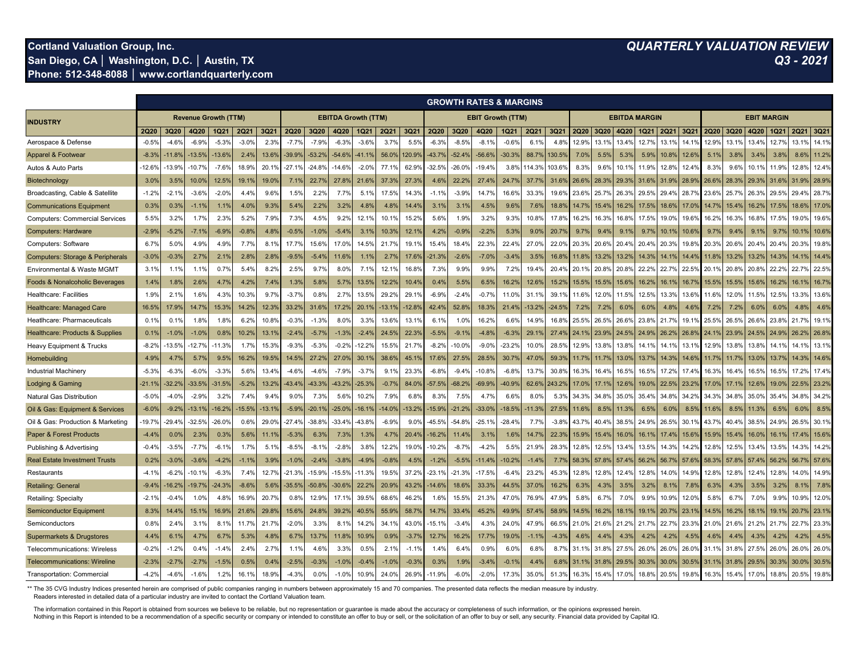## **Cortland Valuation Group, Inc.** *QUARTERLY VALUATION REVIEW*

**San Diego, CA │ Washington, D.C. │ Austin, TX** *Q3 - 2021* **Phone: 512-348-8088 │ www.cortlandquarterly.com**

|                                             |                                                           |                  |           |          |         |                  |             |          |               |          |                   |         | <b>GROWTH RATES &amp; MARGINS</b><br><b>EBIT Growth (TTM)</b> |          |                  |          |                      |                |                |                |                    |             |                  |                  |                |                  |                |               |       |       |
|---------------------------------------------|-----------------------------------------------------------|------------------|-----------|----------|---------|------------------|-------------|----------|---------------|----------|-------------------|---------|---------------------------------------------------------------|----------|------------------|----------|----------------------|----------------|----------------|----------------|--------------------|-------------|------------------|------------------|----------------|------------------|----------------|---------------|-------|-------|
| <b>INDUSTRY</b>                             | <b>Revenue Growth (TTM)</b><br><b>EBITDA Growth (TTM)</b> |                  |           |          |         |                  |             |          |               |          |                   |         |                                                               |          |                  |          | <b>EBITDA MARGIN</b> |                |                |                | <b>EBIT MARGIN</b> |             |                  |                  |                |                  |                |               |       |       |
|                                             | <b>2Q20</b>                                               | 3Q20             | 4Q20      | IQ21     | 2Q21    | 3Q21             | <b>2Q20</b> | 3Q20     | 4Q20          | 1Q21     | 2Q21              | 3Q21    | 2Q20                                                          | 3Q20     | 4Q20             | IQ21     | 2Q21                 | 3Q21           | <b>2Q20</b>    | <b>3Q20</b>    | 4Q20               | <b>1Q21</b> | 2Q21             | 3Q21             | 2Q20           | 3Q20             | 4Q20           | Q21           | 2Q21  | 3Q21  |
| Aerospace & Defense                         | $-0.5%$                                                   | $-4.6%$          | $-6.9%$   | $-5.3%$  | $-3.0%$ | 2.3%             | $-7.7%$     | $-7.9%$  | -6.3%         | $-3.6%$  | 3.7%              | 5.5%    | $-6.3%$                                                       | $-8.5%$  | $-8.19$          | $-0.6%$  | 6.19                 | 4.89           | 12.9%          | 13.19          | 13.4%              | 12.7%       | 13.1             | 14.1'            | 12.9%          | 13.19            | 13.49          | 12.7%         | 13.1% | 14.1% |
| Apparel & Footwea                           | $-8.3%$                                                   | $-11.8$          | 13.5%     | 13.6%    | 2.4%    | 13.6%            | $-39.9%$    | $-53.2%$ | $-54.6%$      | $-41.1%$ | 56.0%             | 120.9%  | 43.7%                                                         | $-52.4%$ | $-56.6%$         | $-30.3%$ | 88.7%                | 130.5%         | 7.0%           | 5.5%           | 5.3%               | 5.9%        | 10.8%            | 12.69            | 5.1%           | 3.8%             | 3.4%           | 3.8%          | 8.6%  | 11.2% |
| Autos & Auto Parts                          | $-12.6%$                                                  | -13.9%           | $.10.7\%$ | $-7.6%$  | 18.9%   | 20.1'            | -27.1%      | $-24.8%$ | $-14.69$      | $-2.0%$  | 77.1              | 62.9%   | $-32.5%$                                                      | $-26.0%$ | $-19.49$         | 3.8%     | 14.39                | 03.6%          | 8.3%           | 9.6%           | 10.1%              | 11.9%       | $12.8^{\circ}$   | $12.4^{\circ}$   | 8.3°           | 9.6%             | $10.1^{\circ}$ | 11.9%         | 12.8% | 12.4% |
| Biotechnology                               | 3.0%                                                      | 3.5%             | 10.0%     | 12.5%    | 19.1%   | 19.09            | 7.1%        | 22.7%    | 27.8%         | 21.6%    | 37.39             | 27.3%   | 4.6%                                                          | 22.2%    | 27.49            | 24.7%    | 37.79                | 31.6%          | 26.6%          | 28.3%          | 29.3%              | 31.6%       | $31.9^{\circ}$   | 28.9'            | $26.6^{\circ}$ | 28.39            | 29.39          | 31.6%         | 31.9% | 28.9% |
| Broadcasting, Cable & Satellite             | $-1.2%$                                                   | $-2.19$          | $-3.6%$   | $-2.0%$  | 4.4%    | 9.6%             | 1.5%        | 2.2%     | 7.7%          | 5.1%     | 17.59             | 14.3%   | $-1.19$                                                       | $-3.9%$  | 14.79            | 16.6%    | 33.3%                | 19.6%          | 23.6%          | 25.7%          | 26.3%              | 29.5%       | $29.4^{\circ}$   | 28.7             | 23.69          | 25.7             | 26.39          | 29.5%         | 29.4% | 28.7% |
| <b>Communications Equipment</b>             | 0.3%                                                      | 0.39             | $-1.1%$   | 1.1%     | 4.0%    | 9.3%             | 5.4%        | 2.2%     | 3.2%          | 4.8%     | 4.89              | 14.4%   | 3.1%                                                          | 3.1%     | 4.5%             | 9.6%     | 7.6%                 | 18.8%          | $14.7^{\circ}$ | 15.4%          | 16.29              | 17.5%       | 18.6%            | 17.0             | 14.7           | 15.49            | $16.2^{\circ}$ | 17.5%         | 18.6% | 17.0% |
| <b>Computers: Commercial Services</b>       | 5.5%                                                      | 3.2%             | 1.7%      | 2.3%     | 5.2%    | 7.9 <sup>c</sup> | 7.3%        | 4.5%     | 9.2%          | 12.1%    | 10.1 <sup>c</sup> | 15.2%   | 5.6%                                                          | 1.9%     | 3.2%             | 9.3%     | 10.89                | 17.89          | 16.2%          | 16.3%          | 16.8%              | 17.5%       | $19.0^{\circ}$   | 19.6             | 16.29          | 16.39            | $16.8^{\circ}$ | 17.5%         | 19.0% | 19.6% |
| <b>Computers: Hardware</b>                  | $-2.99$                                                   | $-5.29$          | -7.1%     | $-6.9%$  | $-0.8%$ | $4.8^{\circ}$    | $-0.5%$     | $-1.0%$  | $-5.49$       | 3.19     | 10.39             | 12.19   | 4.2%                                                          | $-0.9%$  | $-2.29$          | 5.3%     | 9.0%                 | 20.79          | 9.79           | 9.4%           | $9.1^{\circ}$      | 9.79        | 10.1'            | 10.6'            | 9.7            | 9.4%             | 9.1            | $9.7^{\circ}$ | 10.   | 10.6% |
| Computers: Software                         | 6.7%                                                      | 5.0 <sup>°</sup> | 4.9%      | 4.9%     | 7.7%    | 8.1              | 17.7%       | 15.6%    | 17.0%         | 14.5%    | 21.7              | 19.1%   | 15.4%                                                         | 18.4%    | 22.39            | 22.4%    | 27.0%                | $22.0^{\circ}$ | 20.3%          | 20.6%          | $20.4^{\circ}$     | 20.49       | 20.3'            | 19.8             | $20.3^{\circ}$ | 20.69            | $20.4^{\circ}$ | 20.4%         | 20.3% | 19.8% |
| <b>Computers: Storage &amp; Peripherals</b> | $-3.09$                                                   | $-0.39$          | 2.7%      | 2.1%     | 2.8%    | $2.8^{\circ}$    | $-9.5%$     | $-5.49$  | 11.6%         | 1.19     | 2.7 <sup>c</sup>  | 17.6%   | 21.39                                                         | $-2.6%$  | $-7.09$          | $-3.4%$  | 3.5%                 | 16.8%          | 11.89          | 13.29          | 13.29              | 14.39       | 14.1'            | 144              | 11.8           | 13.29            | 13.2°          | 14.39         |       | 14.4% |
| Environmental & Waste MGMT                  | 3.1%                                                      | 1.1'             | 1.1%      | 0.7%     | 5.4%    | 8.2%             | 2.5%        | 9.7%     | 8.0%          | 7.1%     | 12.1              | 16.8%   | 7.3%                                                          | 9.9%     | $9.9^{\circ}$    | 7.2%     | 19.4%                | 20.49          | 20.19          | 20.8%          | 20.8%              | 22.2%       | $22.7^{\circ}$   | 22.5             | 20.1           | 20.89            | 20.89          | 22.2%         | 22.7  | 22.5% |
| <b>Foods &amp; Nonalcoholic Beverages</b>   | 1.4%                                                      | 1.8 <sup>°</sup> | 2.6%      | 4.7%     | 4.2%    | 7.4%             | 1.3%        | 5.8%     | 5.79          | 13.5%    | 12.2%             | 10.4%   | 0.4%                                                          | 5.5%     | 6.5%             | 16.29    | 12.69                | 15.2%          | 15.5%          | 15.5%          | 15.6%              | 16.2%       | $16.1^{\circ}$   | 16.7             | 15.5           | 15.59            | $15.6^{\circ}$ | 16.2%         | 16.   | 16.7% |
| <b>Healthcare: Facilities</b>               | 1.9%                                                      | 2.1              | 1.6%      | 4.3%     | 10.3%   | 9.7 <sup>°</sup> | $-3.7%$     | 0.8%     | $2.7^{\circ}$ | 13.5%    | 29.29             | 29.1%   | $-6.9%$                                                       | $-2.4%$  | $-0.79$          | 11.0%    | 31.19                | 39.1           | 11.6%          | 12.0%          | 11.5%              | 12.5%       | 13.3%            | 13.6             | 11.6           | 12.09            | 11.5           | 12.5%         | 13.3% | 13.6% |
| <b>Healthcare: Managed Care</b>             | 16.5%                                                     | 17.9             | 14.7%     | 15.3%    | 14.2%   | 12.39            | 33.2%       | 31.6%    | 17.2%         | 20.19    | $-13.1$           | 12.8%   | 42.4%                                                         | 52.8%    | 18.39            | 21.49    | 13.29                | $-24.5%$       | 7.2%           | 7.2%           | 6.0%               | 6.0%        | 4.8%             | 4.6'             | 7.29           | 7.29             | 6.09           | 6.0%          | 4.8%  | 4.6%  |
| Heatlhcare: Pharmaceuticals                 | 0.1%                                                      | 0.1              | 1.8%      | 1.8%     | 6.2%    | 10.8%            | $-0.3%$     | $-1.3%$  | 8.0%          | 3.3%     | 13.69             | 13.1%   | 6.1%                                                          | 1.0%     | 16.29            | 6.6%     | 14.9%                | 16.8%          | 25.5%          | 26.5%          | 26.6%              | 23.89       | 21.7'            | 19.1             | 25.5           | $26.5^{\circ}$   | 26.69          | 23.8%         | 21.7% | 19.1% |
| Healthcare: Products & Supplies             | 0.19                                                      | $-1.0$           | $-1.0%$   | 0.8%     | 10.2%   | 13.19            | $-2.49$     | $-5.79$  | $-1.39$       | $-2.49$  | 24.5%             | 22.3%   | $-5.5%$                                                       | $-9.1%$  | $-4.89$          | $-6.39$  | 29.19                | 27.49          | 24.19          | 23.99          | $24.5^{\circ}$     | 24.99       | 26.2%            | 26.8             | 24.7           | 23.99            | $24.5^{\circ}$ | 24.99         | 26.2% | 26.8% |
| Heavy Equipment & Trucks                    | $-8.2%$                                                   | $-13.59$         | 12.7%     | $-11.3%$ | 1.7%    | 15.39            | $-9.3%$     | $-5.3%$  | $-0.29$       | 12.2%    | 15.59             | 21.7%   | $-8.2%$                                                       | 10.0%    | $-9.09$          | $-23.2%$ | 10.0%                | 28.5%          | 12.9%          | 13.89          | 13.89              | 14.19       | 14.1'            | 13.1             | 12.9%          | 13.89            | 13.89          | 14.1          | 14.1% | 13.1% |
| Homebuilding                                | 4.9%                                                      | $4.7^{\circ}$    | 5.7%      | 9.5%     | 16.2%   | 19.5%            | 14.5%       | 27.2%    | 27.0%         | 30.19    | 38.69             | 45.19   | 17.6%                                                         | 27.5%    | 28.5%            | 30.7%    | 47.09                | 59.3%          | 11.7%          | $11.7^{\circ}$ | $13.0^{\circ}$     | 13.79       | $14.3^{\circ}$   | 14.6             |                |                  | $13.0^{\circ}$ | 13.79         | 14.3% | 14.6% |
| <b>Industrial Machinery</b>                 | $-5.3%$                                                   | $-6.39$          | $-6.0%$   | $-3.3%$  | 5.6%    | 13.49            | $-4.6%$     | $-4.6%$  | $-7.9%$       | $-3.7%$  | 9.1 <sup>°</sup>  | 23.3%   | $-6.8%$                                                       | $-9.4%$  | $-10.89$         | $-6.89$  | 13.79                | 30.8%          | 16.3%          | 16.4%          | 16.59              | 16.5%       | $17.2^{\circ}$   | 17.4             | 16.39          | 16.4%            | 16.5%          | 16.5%         | 17.2% | 17.4% |
| Lodging & Gaming                            | $-21.19$                                                  | $-32.29$         | 33.5%     | $-31.5%$ | $-5.2%$ | 13.29            | 43.4%       | 43.3%    | $-43.2%$      | $-25.39$ | $-0.79$           | 84.0%   | $-57.5%$                                                      | $-68.2%$ | $-69.99$         | 40.9%    | 62.6%                | 243.29         | 17.09          | 17.19          | 12.6%              | 19.09       | 22.5%            | 23.2             | 17.0           | 17.19            | 12.6           | 19.0%         | 22.5% | 23.2% |
| <b>Natural Gas Distribution</b>             | $-5.0%$                                                   | $-4.09$          | $-2.9%$   | 3.2%     | 7.4%    | 9.49             | 9.0%        | 7.3%     | 5.6%          | 10.2%    | 7.9°              | 6.8%    | 8.3%                                                          | 7.5%     | $4.7^{\circ}$    | 6.6%     | 8.0%                 | 5.3%           | 34.3%          | 34.8%          | 35.0%              | 35.4%       | $34.8^{\circ}$   | 34.2'            | $34.3^{\circ}$ | 34.8%            | 35.09          | 35.4%         | 34.8% | 34.2% |
| Oil & Gas: Equipment & Services             | $-6.09$                                                   | $-9.2^{\circ}$   | $-13.19$  | 16.2%    | 15.5%   | $-13.1'$         | $-5.9%$     | $-20.19$ | $-25.0%$      | $-16.19$ | $-14.0$           | 13.2%   | 15.9%                                                         | $-21.2%$ | $-33.09$         | 18.5%    | $-11.39$             | 27.5%          | 11.6%          | 8.5%           | 11.39              | 6.5%        | 6.0%             | 8.5 <sup>c</sup> | 11.6           | 8.5%             | 11.3           | 6.5%          | 6.0%  | 8.5%  |
| Oil & Gas: Production & Marketing           | $-19.7%$                                                  | $-29.4^{\circ}$  | $-32.5%$  | $-26.0%$ | 0.6%    | 29.0%            | -27.4%      | $-38.8%$ | $-33.49$      | -43.8%   | $-6.9%$           | 9.0%    | $-45.5%$                                                      | $-54.8%$ | $-25.19$         | $-28.4%$ | 7.7%                 | $-3.89$        | 43.7%          | 40.4%          | 38.5%              | 24.9%       | 26.5%            | 30.1             | 43.7           | 40.49            | 38.59          | 24.9%         | 26.5% | 30.1% |
| Paper & Forest Products                     | $-4.4%$                                                   | $0.0^{\circ}$    | 2.3%      | 0.3%     | 5.6%    | 11.19            | $-5.3%$     | 6.3%     | 7.3%          | 1.3%     | 4.7%              | 20.4%   | $-16.29$                                                      | 11.4%    | 3.1%             | 1.6%     | 14.7%                | 22.3%          | 15.9%          | 15.4%          | 16.0%              | 16.19       | $17.4^{\circ}$   | 15.6'            | $15.9^{\circ}$ | 15.49            | $16.0^{\circ}$ | 16.1          | 17.4% | 15.6% |
| Publishing & Advertising                    | $-0.4%$                                                   | $-3.59$          | $-7.7%$   | $-6.1%$  | 1.7%    | 5.19             | $-8.5%$     | -8.1%    | $-2.8%$       | 3.8%     | 12.29             | 19.0%   | $-10.2%$                                                      | $-8.7%$  | $-4.29$          | 5.5%     | 21.9%                | 28.3%          | 12.8%          | 12.5%          | 13.4°              | 13.5%       | 14.3°            | 14.29            | 12.8           | 12.5%            | $13.4^{\circ}$ | 13.5%         | 14.3% | 14.2% |
| <b>Real Estate Investment Trusts</b>        | 0.2%                                                      | $-3.0%$          | $-3.6%$   | $-4.2%$  | $-1.1%$ | 3.9%             | $-1.0%$     | $-2.4%$  | $-3.8%$       | $-4.9%$  | $-0.89$           | 4.5%    | $-1.2%$                                                       | $-5.5%$  | $-11.49$         | 10.2%    | $-1.49$              | 7.7%           | 58.3%          | 57.8%          | 57.4'              | 56.2%       | 56.7'            | 57.6             | $58.3^{\circ}$ | 57.89            | 57.4           | 56.2%         | 56.7% | 57.6% |
| Restaurants                                 | $-4.1%$                                                   | $-6.29$          | $-10.1%$  | $-6.3%$  | 7.4%    | 12.7%            | -21.3%      | 15.9%    | $-15.5%$      | $-11.3%$ | 19.5%             | 37.2%   | $-23.1%$                                                      | $-21.3%$ | $-17.59$         | $-6.4%$  | 23.2%                | 45.3%          | 12.8%          | 12.8%          | 12.49              | 12.8%       | 14.0°            | 14.99            | 12.8           | 12.8%            | $12.4^{\circ}$ | 12.8%         | 14.0% | 14.9% |
| <b>Retailing: General</b>                   | $-9.4%$                                                   | 16.2°،           | 19.7%     | $-24.3%$ | $-8.6%$ | 5.69             | $-35.5\%$   | $-50.8%$ | $-30.6%$      | 22.2%    | 20.99             | 43.2%   | $-14.6%$                                                      | 18.6%    | 33.3%            | 44.5%    | 37.09                | 16.2%          | 6.3%           | 4.3%           | 3.5%               | 3.2%        | 8.1 <sup>6</sup> | $7.8^{\circ}$    | 6.39           | 4.3%             | 3.5%           | 3.2%          | 8.1%  | 7.8%  |
| Retailing: Specialty                        | $-2.1%$                                                   | $-0.49$          | 1.0%      | 4.8%     | 16.9%   | 20.79            | 0.8%        | 12.9%    | 17.19         | 39.5%    | 68.69             | 46.2%   | 1.6%                                                          | 15.5%    | 21.39            | 47.0%    | 76.9%                | 47.99          | 5.8%           | 6.7%           | 7.0%               | 9.9%        | 10.9%            | 12.0             | 5.8%           | 6.7 <sup>c</sup> | 7.09           | 9.9%          | 10.9% | 12.0% |
| <b>Semiconductor Equipment</b>              | 8.3%                                                      | $14.4^{\circ}$   | 15.1%     | 16.9%    | 21.6%   | 29.89            | 15.6%       | 24.8%    | 39.2%         | 40.5%    | 55.99             | 58.7%   | 14.7%                                                         | 33.4%    | 45.2%            | 49.9%    | 57.4%                | 58.9%          | 14.5%          | 16.2%          | $18.1^{\circ}$     | 19.19       | $20.7^\circ$     | 23.1             | 14.5°          | 16.2%            | 18.1           | 19.1          | 20.7% | 23.1% |
| Semiconductors                              | 0.8%                                                      | 2.4%             | 3.1%      | 8.19     | 11.7%   | $21.7^{\circ}$   | $-2.0%$     | 3.3%     | 8.19          | 14.2%    | 34.1'             | 43.0%   | $-15.19$                                                      | $-3.4%$  | 4.3 <sup>0</sup> | 24.0%    | 47.9%                | 66.5%          | 21.09          | 21.6%          | 21.29              | 21.7%       | 22.7%            | 23.3'            | $21.0^{\circ}$ | 21.69            | 21.29          | 21.7%         | 22.7% | 23.3% |
| <b>Supermarkets &amp; Drugstores</b>        | 4.4%                                                      | 6.1              | 4.7%      | 6.7%     | 5.3%    | 4.8 <sup>°</sup> | 6.7%        | 13.7%    | 11.8%         | 10.9%    | 0.99              | $-3.7%$ | 12.7%                                                         | 16.2%    | 17.7%            | 19.0%    | $-1.1%$              | $-4.39$        | 4.6%           | $4.4^{\circ}$  | 4.39               | 4.29        | 4.29             | 4.5'             | $4.6^{\circ}$  | 4.4%             | $4.3^{\circ}$  | $4.2^{\circ}$ | 4.2%  | 4.5%  |
| Telecommunications: Wireless                | $-0.2%$                                                   | $-1.29$          | 0.4%      | $-1.4%$  | 2.4%    | 2.7%             | 1.1%        | 4.6%     | 3.3%          | 0.5%     | 2.1°              | $-1.19$ | 1.4%                                                          | 6.4%     | 0.99             | 6.0%     | 6.8%                 | 8.7%           | 31.19          | 31.8%          | 27.5%              | 26.0%       | 26.0%            | 26.0             | 31.1           | 31.89            | 27.59          | 26.0%         | 26.0% | 26.0% |
| <b>Telecommunications: Wireline</b>         | $-2.3%$                                                   | $-2.79$          | $-2.7%$   | $-1.5%$  | 0.5%    | 0.4%             | $-2.5%$     | $-0.3%$  | $-1.0%$       | $-0.4%$  | $-1.09$           | $-0.3%$ | 0.3%                                                          | 1.9%     | $-3.49$          | $-0.19$  | 4.4%                 | 6.8%           | 31.19          | 31.8%          | 29.5%              | 30.3%       | 30.0%            | 30.59            | $31.1^{\circ}$ | 31.89            | 29.5%          | 30.3%         | 30.0% | 30.5% |
| Transportation: Commercial                  | $-4.2%$                                                   | $-4.69$          | $-1.6%$   | 1.2%     | 16.1%   | 18.9%            | $-4.3%$     | 0.0%     | $-1.09$       | 10.9%    | 24.09             | 26.9%   | -11.9%                                                        | $-6.0%$  | $-2.0%$          | 17.3%    | 35.0%                | 51.3%          | 16.3%          | 15.4%          | 17.0%              | 18.8%       | 20.5%            | 19.8%            | 16.39          | 15.49            | 17.0%          | 18.8%         | 20.5% | 19.8% |

\*\* The 35 CVG Industry Indices presented herein are comprised of public companies ranging in numbers between approximately 15 and 70 companies. The presented data reflects the median measure by industry.

Readers interested in detailed data of a particular industry are invited to contact the Cortland Valuation team.